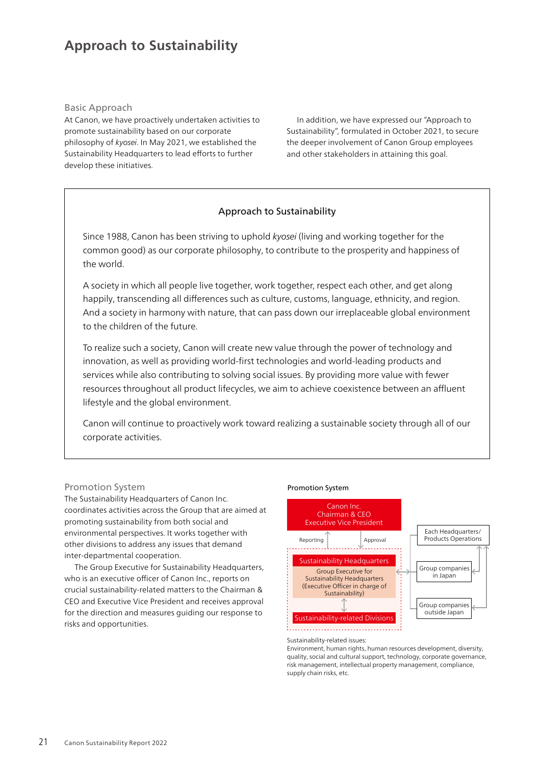# **Approach to Sustainability**

## Basic Approach

At Canon, we have proactively undertaken activities to promote sustainability based on our corporate philosophy of *kyosei*. In May 2021, we established the Sustainability Headquarters to lead efforts to further develop these initiatives.

In addition, we have expressed our "Approach to Sustainability", formulated in October 2021, to secure the deeper involvement of Canon Group employees and other stakeholders in attaining this goal.

# Approach to Sustainability

Since 1988, Canon has been striving to uphold *kyosei* (living and working together for the common good) as our corporate philosophy, to contribute to the prosperity and happiness of the world.

A society in which all people live together, work together, respect each other, and get along happily, transcending all differences such as culture, customs, language, ethnicity, and region. And a society in harmony with nature, that can pass down our irreplaceable global environment to the children of the future.

To realize such a society, Canon will create new value through the power of technology and innovation, as well as providing world-first technologies and world-leading products and services while also contributing to solving social issues. By providing more value with fewer resources throughout all product lifecycles, we aim to achieve coexistence between an affluent lifestyle and the global environment.

Canon will continue to proactively work toward realizing a sustainable society through all of our corporate activities.

# Promotion System

The Sustainability Headquarters of Canon Inc. coordinates activities across the Group that are aimed at promoting sustainability from both social and environmental perspectives. It works together with other divisions to address any issues that demand inter-departmental cooperation.

The Group Executive for Sustainability Headquarters, who is an executive officer of Canon Inc., reports on crucial sustainability-related matters to the Chairman & CEO and Executive Vice President and receives approval for the direction and measures guiding our response to risks and opportunities.

#### Promotion System



Sustainability-related issues:

Environment, human rights, human resources development, diversity, quality, social and cultural support, technology, corporate governance, risk management, intellectual property management, compliance, supply chain risks, etc.